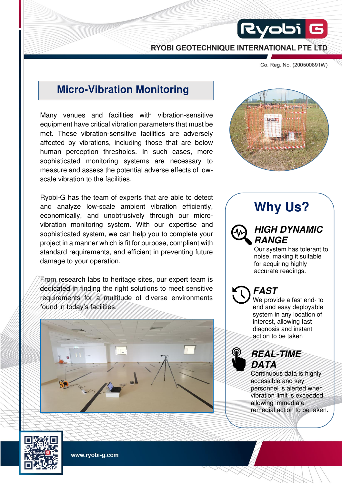RYOBI GEOTECHNIQUE INTERNATIONAL PTE LTD

Co. Reg. No. (200500891W)

### **Micro-Vibration Monitoring**

Many venues and facilities with vibration-sensitive equipment have critical vibration parameters that must be met. These vibration-sensitive facilities are adversely affected by vibrations, including those that are below human perception thresholds. In such cases, more sophisticated monitoring systems are necessary to measure and assess the potential adverse effects of lowscale vibration to the facilities.

Ryobi-G has the team of experts that are able to detect and analyze low-scale ambient vibration efficiently, economically, and unobtrusively through our microvibration monitoring system. With our expertise and sophisticated system, we can help you to complete your project in a manner which is fit for purpose, compliant with standard requirements, and efficient in preventing future damage to your operation.

From research labs to heritage sites, our expert team is dedicated in finding the right solutions to meet sensitive requirements for a multitude of diverse environments found in today's facilities.





 $Ry$ obi $\parallel$ 

# **Why Us?**

### **HIGH DYNAMIC RANGE**

Our system has tolerant to noise, making it suitable for acquiring highly accurate readings.

## **FAST**

We provide a fast end- to end and easy deployable system in any location of interest, allowing fast diagnosis and instant action to be taken

### **REAL-TIME DATA**

Continuous data is highly accessible and key personnel is alerted when vibration limit is exceeded, allowing immediate remedial action to be taken.



www.ryobi-g.com